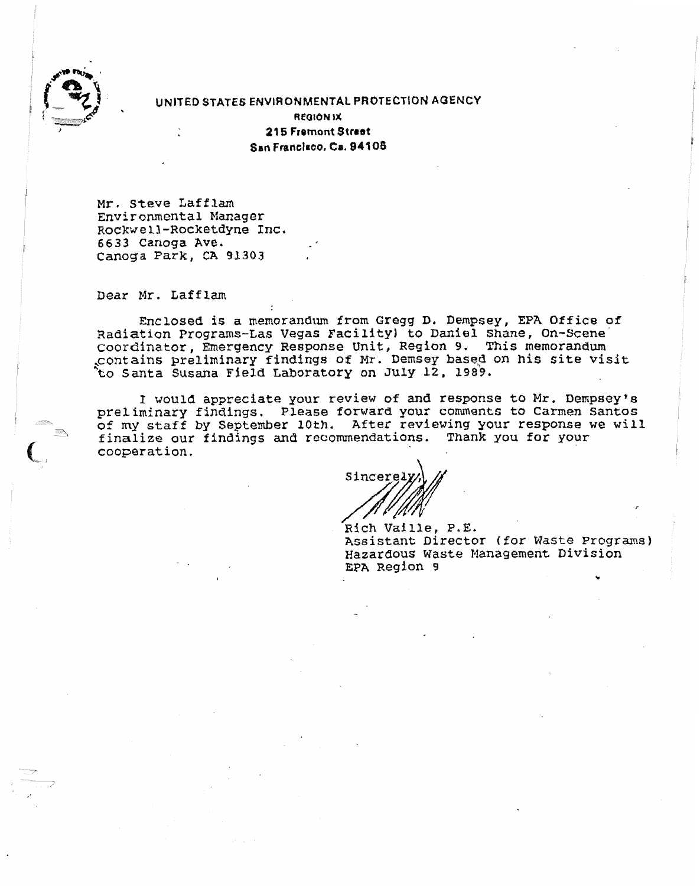

**UNITED STATES ENVIRONMENTAL PROTECTION AOENCY** . **REOION IX** 

**2l5 Fremont Street Sen Frsnelsao. C8.94'108** 

**Mr. Steve Lafflam Environmental Manager Rockwell-Rocketdyne Inc. 6633 Canoga Ave. Canoga Park, CA 91303** 

**Dear Mr, Laff lam** 

**Enclosed is a memorandum from Gregg D. Dempsey, EPA Office of Radiation Programs-La\$ Vegas Facility) to Daniel Shane, On-scene-Coordinator, Emergency Response Unit, Region 9. This** memorandum ,.contains **preliminary** findings **of Mr. Demsey** bases **on his site visit \*to Santa Susana Field** Laboratory **on July 12, 1989.** 

I **would appreciate your review of and response to Mr. Dempsey's**  preliminary **findings. PLease forward your comments to Carmen Santos of my staff by September 10th. After reviewing your response we will finalize our findings and recommendations. Thank you for your**  cooperat **ion,**   $\mathbf{r}$ 

Sincere. **fl** 

**Rich Vaille, P.E. Assistant Director (for Waste Programs)**  NSBIStant Director (for waste Program<br>Hazardous Waste Management Division<br>EPA Region 9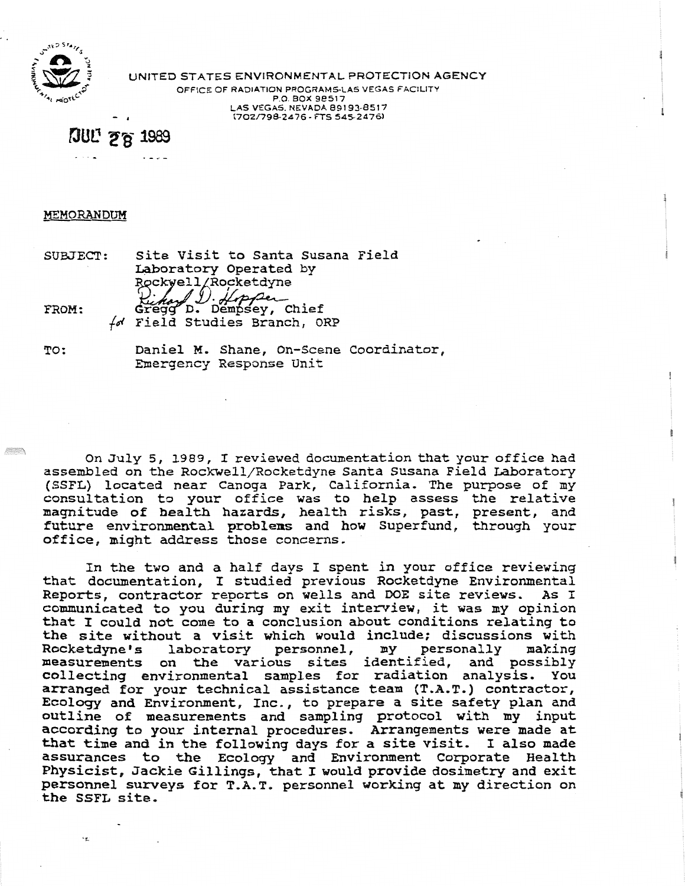

UNITED STATES ENVIRONMENTAL PROTECTION **AGENCY OFFICE OF RADIATION PROGRAMSLAS VEGAS FACILITY** 

OFFICE OF RADIATION PROGRAMS-LAS VEGAS FACILITY **P.O. BOX 98517** - **(702/79&2476** - **FTS 5452476)** 

**JUL' 28 1989** 

## **MEMORANDUM**

SUBSECp: Site Visit to Santa Susana Field lte Visit to Santa Susar<br>bboratory Operated by Rockwell/Rocketdyne<br>(*). (Apper*<br>Gregg D. Dempsey, Chief FROM : for Field Studies Branch, ORP

**TO:** Daniel M. Shane, On-Scene coordinator, Enrergency Response Unit

On July 5, 1989, I reviewed documentation that your office had On July 5, 1989, I reviewed documentation that your office had assembled on the Rockwell/Rocketdyne Santa Susana Field Laboratory (SSFL) located near Canoga Park, California. The purpose of my consultation to your office was to help assess the relative magnitude of health hazards, health risks, past, present, and future environmental problems and how Superfund, through your office, might address those concerns.

In the two and a half days I spent in your office reviewing In the two and a half days I spent in your office reviewing<br>not decumentation. I studied previous Rocketdyne Environmental that documentation, I studied previous Rocketdyne Environmental<br>Reports, contractor reports on wells and DOE site reviews. As I ports, contractor reports on wells and DOE site reviews. As I pmmunicated to you during my exit interview, it was my opinion<br>bat I could not come to a conclusion about conditions relating to hat I could not come to a conclusion about conditions relating to the site without a visit which would include; discussions with<br>Rocketdyne's laboratory personnel, my personally making personally making measurements on the various sites identified, and possibly collecting environmental samples for radiation analysis. You arranged for your technical assistance team (T.A.T.) contractor, cology and Environment, Inc., to prepare a site safety plan and<br>itline of measurements and sampling protocol with my input actine of measurements and sampling protocol with my input according to your internal procedures. Arrangements were made at that time and in the following days for a site visit. I also made assurances to the Ecology and Environment Corporate Health Physicist, Jackie Gillings, that I would provide dosimetry and exit personnel surveys for T.A.T. personnel working at my direction on the SSFL site.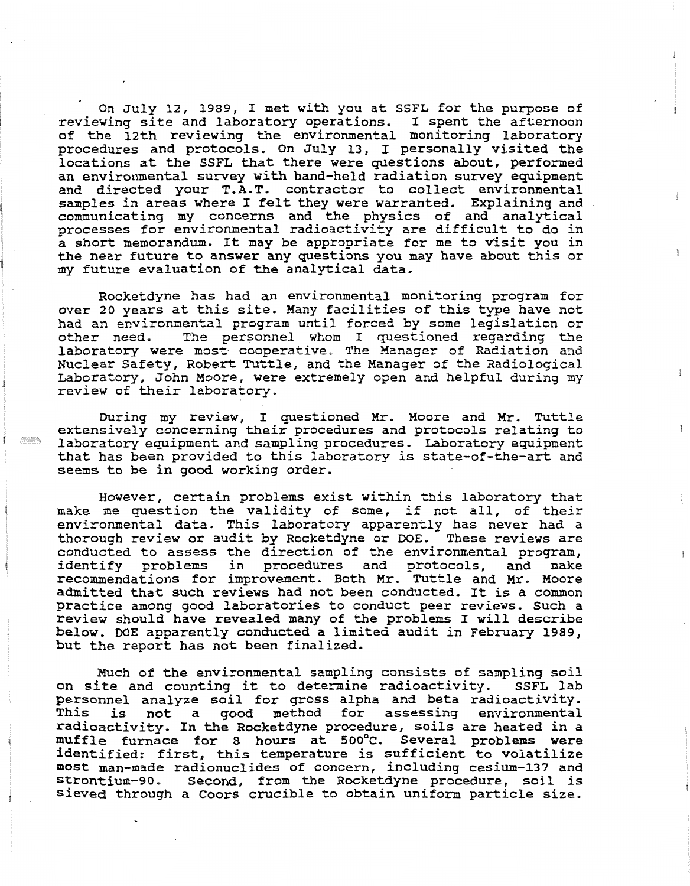On July 12, 1989, I met with you at SSFL for the purpose of reviewing site and laboratory operations. I spent the afternoon of the 12th reviewing the environmental monitoring laboratory procedures and protocols. On July 13, I personally visited the locations at the SSFL that there were questions about, performed an environmental survey with hand-held radiation survey equipment and directed your T.A.T. contractor to collect environmental samples in areas where I felt they were warranted. Explaining and communicating my concerns and the physics of and analytical processes for environmental radioactivity are difficult to do in a short memorandum. It may be appropriate for me to Visit you in the near future to answer any questions you may have about this or my future evaluation of the analytical data,

Rocketdyne has had an environmental monitoring program for over 20 years at this site. Many facilities of this type have not had an environmental program until forced by some legislation or other need. The personnel whom I questioned regarding **the**  laboratory were most cooperative, The Manager of Radiation **and**  Nuclear Safety, Robert Tuttle, and the Manager of the Radiological Laboratory, John Moore, were extremely open and helpful during my review of their laboratory.

During my review, I questioned Mr. Moore and **Mr.** Tuttle extensively concerning their procedures and protocols relating to laboratory equipment and sampling procedures. Laboratory equipment that has been provided to this laboratory is state-of-the-art and seems to be in good working order.

However, certain problems exist within this laboratory that make me question the validity of some, if not all, of their environmental data. This laboratory apparently has never had a thorough review or audit by Rocketdyne or DOE. These reviews are conducted to assess the direction of the environmental program, identify problems in procedures and protocols, and make recommendations for improvement. Both Mr. Tuttle and Mr. Moore admitted that such reviews had not been conducted. It is a common practice among good laboratories to conduct peer reviews. Such a review should have revealed many of the problems I will describe below. DOE apparently conducted a limited audit in February 1989, but the report has not been finalized.

Much of the environmental sampling consists of sampling soil on site and counting it to determine radioactivity. SSFL lab personnel analyze soil for gross alpha and beta radioactivity. This is not a good method for assessing environmental radioactivity. In the Rocketdyne procedure, soils are heated in a muffle furnace for 8 hours at 500°C. Several problems were identified: first, this temperature is sufficient to volatilize most man-made radionuclides of concern, including cesium-137 and strontium-90. Second, from the Rocketdyne procedure, soil is sieved through a Coors crucible to obtain uniform particle size.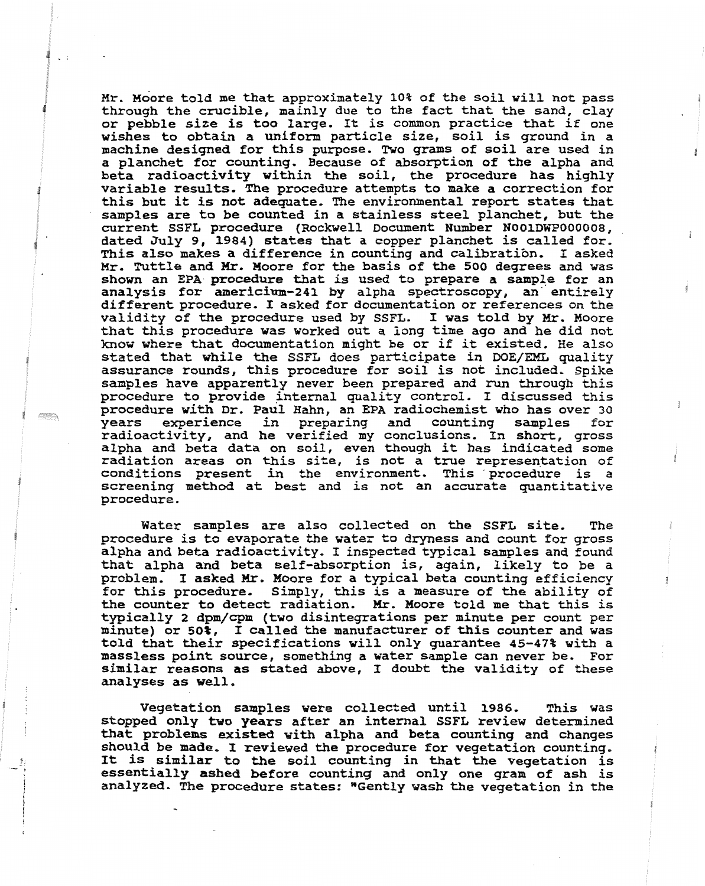Mr. Moore told me that approximately 10% of the soil will not pass **through the crucible, mainly due to the fact that the sand, clay or pebble size is too large. It is common practice that if one wishes to obtain a uniform particle size, soil is ground in a machine designed for this purpose, Two grams of soil are used in a planchet for counting. Because of absorption of the alpha and beta radioactivity within the soil, the procedure has highly variable results, The procedure attempts to make a correction for this but it is not adequate, The environmental report states that samples are to be counted in a stainless steel planchet, but the current SSFL procedure (Rockwell Document Number N001DWP000008, dated July 9, 1984) states that a copper planchet is called for. This also makes a difference in counting and calibratibn. I asked Mr. Tuttle and Mr. Moore for the basis of the 500 degrees and was shown an EPA procedure that is used to prepare a sample for an analysis for americium-243 by alpha spectroscopy, an' entirely different procedure. I asked for documentation or references on the validity of the procedure used by SSFL, I was told by Mr. Moore that this procedure was worked out a long time ago and he did not 'mow where that documentation might be or if it existed, He also stated that while the SSFL does participate in IDOE/EML quality assurance rounds, this procedure for soil is not included, Spike samples have apparently never been prepared and run through this procedure to provide internal quality control. I discussed this procedure with Dr. Paul Hahn, an EPA radiochemist who has over 30 years experience in preparing and counting samples for radioactivity, and he verified my conclusions. In short, gross alpha and beta data on soil, even though it has indicated some radiation areas on this site, is not a true representation of conditions present in the environment. This procedure is a screening method at best and is not an accurate quantitative procedure.** 

**Water samples are also collected on the SSFL site, The procedure is to evaporate the water to dryness and count for gross alpha and beta radioactivity. I inspected typical samples and found that alpha and beta self-absorption is, again, likely to be a problem, I asked** *Hr.* **Moore for a typical beta counting efficiency for this procedure. Simply, this is a measure of the ability of the counter to detect radiation. Mr. Moore told me that this is typically 2 dpm/cpm (two disintegrations per minute per count per minute) or 50%, I called the manufacturer of this counter and was told that their specifications will only guarantee 45-47% with a massless point source, something a water sample can never be. For similar reasons as stated above, I doubt the validity of these analyses as well.** 

**Vegetation samples were collected until 1986. This was stopped only tuo years after an internal SSFL review determined that problems existed vith alpha and beta counting and changes should be made, I reviewed the procedure for vegetation counting. It is similar to the soil counting in that the vegetation is essentially ashed before counting and only one gram of ash is analyzed- The procedure states: %ently wash the vegetation in the**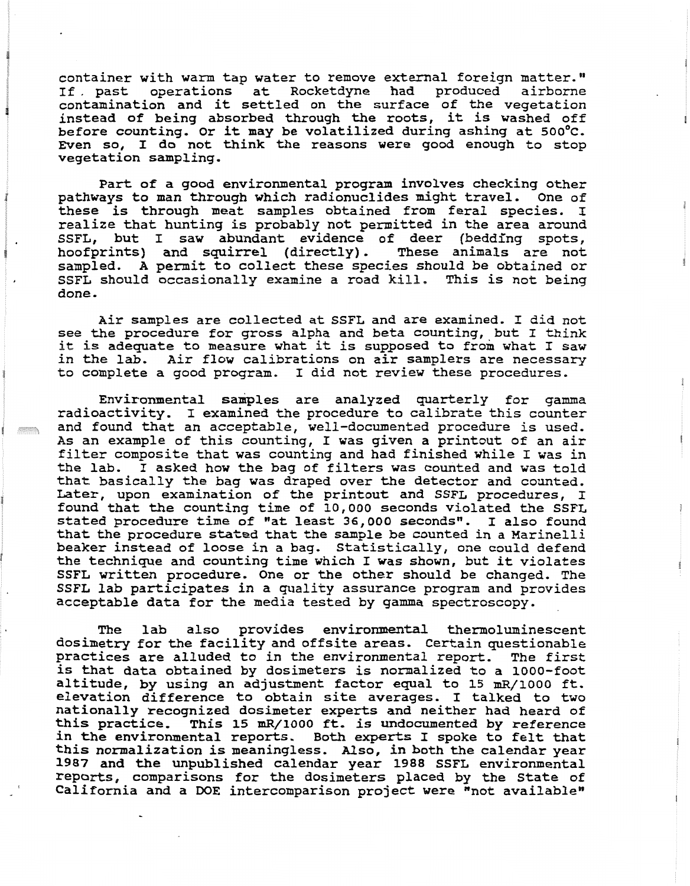container with warm tap water to remove external foreign matter." If. past operations at Rocketdyne had produced airborne contamination and it settled on the surface of the vegetation instead of being absorbed through the roots, it is washed off before counting. Or it may be volatilized during ashing at 500°c. Even so, I do not think the reasons were good enough to stop vegetation sampling.

Part of a good environmental program involves checking other pathways to man through which radionuclides might travel. One of these is through meat samples obtained from feral species, I realize that hunting is probably not permitted in the area around SSFL, but I saw abundant evidence of deer (bedding spots, hoofprints) and squirrel (directly) , These animals are not hoofprints) and squirrel (directly). These animals are not sampled. A permit to collect these species should be obtained or SSFL should occasionally examine a road kill, This is not being done.

Air samples are collected at SSFL and are examined. I did not see the procedure for gross alpha and beta counting, but I think it is adequate to measure what it is supposed to from what I saw in the lab, Air flow calibrations on air samplers are necessary to complete a good program. I did not review these procedures,

Environmental samples are analyzed quarterly for gamma radioactivity. I examined the procedure to calibrate this counter and found that an acceptable, well-documented procedure is used. As an example of this counting, I was given a printout of an air filter composite that was counting and had finished while I was in the lab, **I** asked how the bag of filters was counted and was told that basically the bag was draped over the detector and counted. Later, upon examination of the printout and SSFL procedures, I found that the counting time of 10,000 seconds violated the SSFL stated procedure time of "at least 36,000 seconds". I also found that the procedure stated that the sample be counted in a Marinelli beaker instead of loose in a bag, Statistically, one could defend the technique and counting time which I was shown, but it violates SSFL written procedure. One or the other should be changed, The SSFL lab participates in a quality assurance program and provides acceptable data for the media tested by gamma spectroscopy.

The lab also provides environmental thermoluminescent dosimetry for the facility and offsite areas. Certain questionable practices are alluded to in the environmental report, The first is that data obtained by dosimeters is nomalized to a 1000-foot altitude, by using an adjustment factor equal to 15 mR/1000 ft. elevation difference to obtain site averages. I talked to two nationally recognized dosimeter experts and neither had heard of this practice. This 15 mR/1000 ft. is undocumented by reference in the environmental reports. Both experts I spoke to felt that this normalization is meaningless, Also, in both the calendar year 1987 and the unpublished calendar year 1988 SSFL environmental reports, comparisons for the dosimeters placed by the State of California and a DOE intercomparison project were "not available"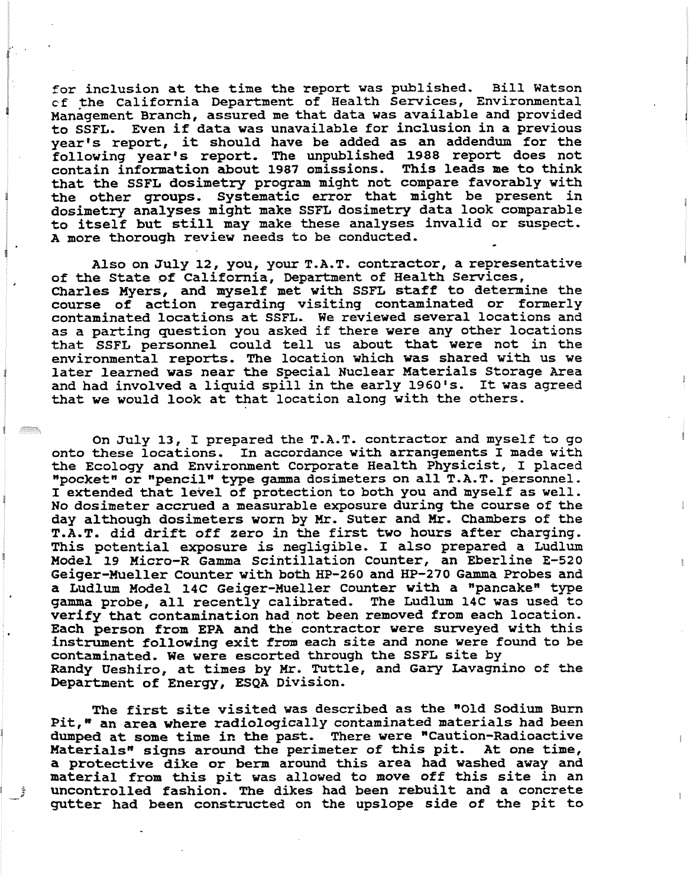**for inclusion at the time the report was published- Bill Watson cf the California Department of Health Services, Environmental Management Branch, assured methat data was available and provided to SSFL, Even if data was unavailable for inclusion in a previous year's report, it should have be added as an addendum for the following year's report, The unpublished 1988 report does not contain infomation about 1987 omissions. This leads me to think that the SSFL dosimetry program might not compare favorably with the other groups. Systematic error that might be present in dosimetry analyses might make SSFL dosimetry data look comparable to itself but still may make these analyses invalid or suspect, A more thorough review needs to be conducted,** \*

**Also on July 12, you, your T-A-T, contractor, a representative**  of the State of California, Department of Health Services, **Charles Myers, and myself met with SSFL staff to determine the course of action regarding visiting contaminated or formerly contaminated locations at SSFL, We reviewed several locations and as a parting question you asked if there were any other locations that SSFL personnel could tell us about that were not in the environmental reports, The location which was shared with us we later learned was near the Special Nuclear Materials Storage Area and had involved a liquid spill in the early 1960's- It was agreed that we would look at that location along with the others.** 

**On July 13, I prepared the T.A.T. contractor and myself to go onto these locations. In accordance with arrangements I made with the Ecology and Environment Corporate Health Physicist, I placed npocketH or npencilH type gamma dosimeters on all T-A.T. personnel. I extended that level of protection to both you and myself as well. No dosimeter accrued a measurable exposure during the course of the day although dosimeters worn by Mr. Suter and Mr. Chambers of the T.A.T. did drift off zero in the first two hours after charging. This potential exposure is negligible, I also prepared a Ludlum Model 19 Micro-R Gamma scintillation Counter, an Eberline E-520 Geiger-Mueller Counter with both HP-260 and HP-270 Gamma Probes and**  a Ludlum Model 14C Geiger-Mueller Counter with a "pancake" type **gamma probe, all recently calibrated- The Ludlum 14C was used to verify that contamination had,not been removed from each location, Each person from EPA and the contractor were surveyed with this instrument following exit from each site and none were found to be contaminated. We were escorted through the SSFL site by Randy Ueshiro, at times by Mr. Tuttle, and Gary Lavagnino of the**  Department of Energy, ESQA Division.

The first site visited was described as the "Old Sodium Burn **Pit," an area where radiologically contaminated materials had been dumped at some time in the past. There were mCaution-Radioactive**  Materials<sup>"</sup> signs around the perimeter of this pit. At one time, **a protective dike or berm around this area had washed away and material from this pit was allowed to move off this site** in an **uncontrolled fashion. The dikes had been rebuilt and a concrete gutter Bad been constructed on the upslope side of the** pit **to**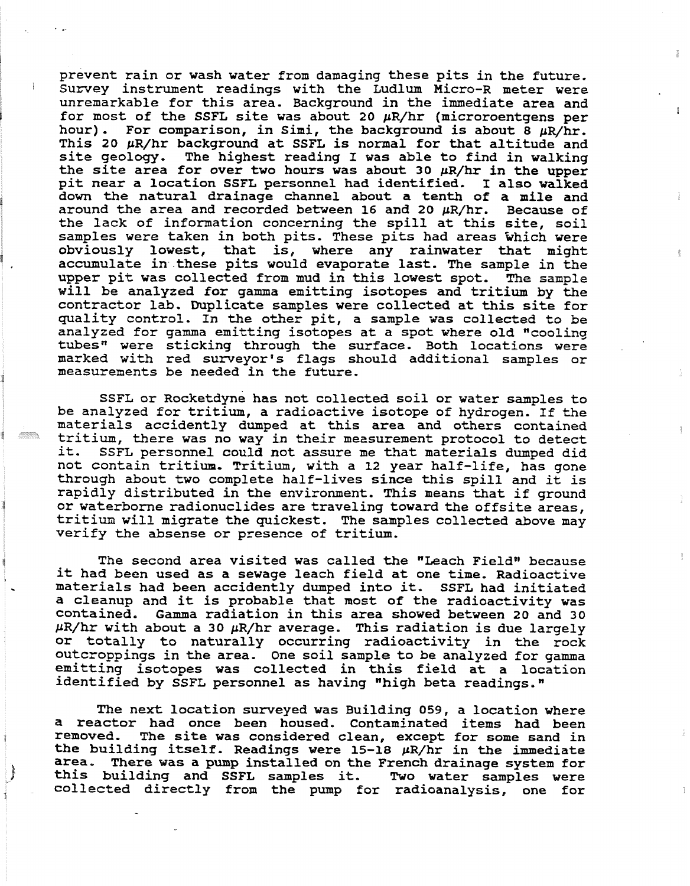prevent rain or wash water from damaging these pits in the future, Survey instrument readings with the Ludlum Micro-R meter were unremarkable for this area. Background in the immediate area and for most of the SSFL site was about **20** pR/hr (microroentgens per hour). For comparison, in Simi, the background is about  $8 \mu R/hr$ . This 20  $\mu$ R/hr background at SSFL is normal for that altitude and site geology, The highest reading I was able to find in walking the site area for over two hours was about **30** pR/hr in the upper pit near a location SSFL personnel had identified. I also walked down the natural drainage channel about a tenth of a mile and around the area and recorded between 16 and 20  $\mu$ R/hr. Because of the lack of information concerning the spill at this site, soil samples were taken in both pits. These pits had areas which were obviously lowest, that is, where any rainwater that might accumulate in these pits would evaporate last. The sample in the upper pit was collected from mud in this lowest spot, The sample will be analyzed for gamma emitting isotopes and tritium by the contractor lab. Duplicate samples were collected at this site for quality control, In the other pit, a sample was collected to be analyzed for gamma emitting isotopes at a spot where old "cooling tubes" were sticking through the surface. Both locations were marked with red surreyor's flags should additional samples or measurements be needed in the future,

SSFL or Rocketdyne has not collected soil or water samples to be analyzed for tritium, a radioactive isotope of hydrogen. If the materials accidently dumped at this area and others contained tritium, there was no way in their mezsurement protocol to detect SSFL personnel could not assure me that materials dumped did not contain tritium, Tritium, with a **12** year half-life, has gone through about two complete half-lives since this spill and it is rapidly distributed in the environment, This means that if ground or waterborne radionuclides are traveling toward the offsite areas, tritiun will migrate the quickest. The samples collected above may verify the absense or presence of tritium.

The second area visited was called the "Leach Field" because it had been used as a sewage leach field at one time, Radioactive materials had been accidently dumped into it. SSFL had initiated a cleanup and it is probable that most of the radioactivity was contained. Gamma radiation in this area showed between **20** and 30 pR/hr with about a **30** pR/hr average. This radiation is due largely or totally to naturally occurring radioactivity in the rock outcroppings in the area. One soil sample to be analyzed for gamma emitting isotopes was collected in this field at a location identified by SSFL personnel as having "high beta readings."

The next location surveyed was Building 059, a location where a reactor had once been housed, contaminated items had been removed. The site was considered clean, except for some sand in the building itself. Readings were  $15-18$   $\mu$ R/hr in the immediate area, There was a pump installed on the French drainage system for this building and SSFL samples it. Two water samples were collected directly from the pump for radioanalysis, one for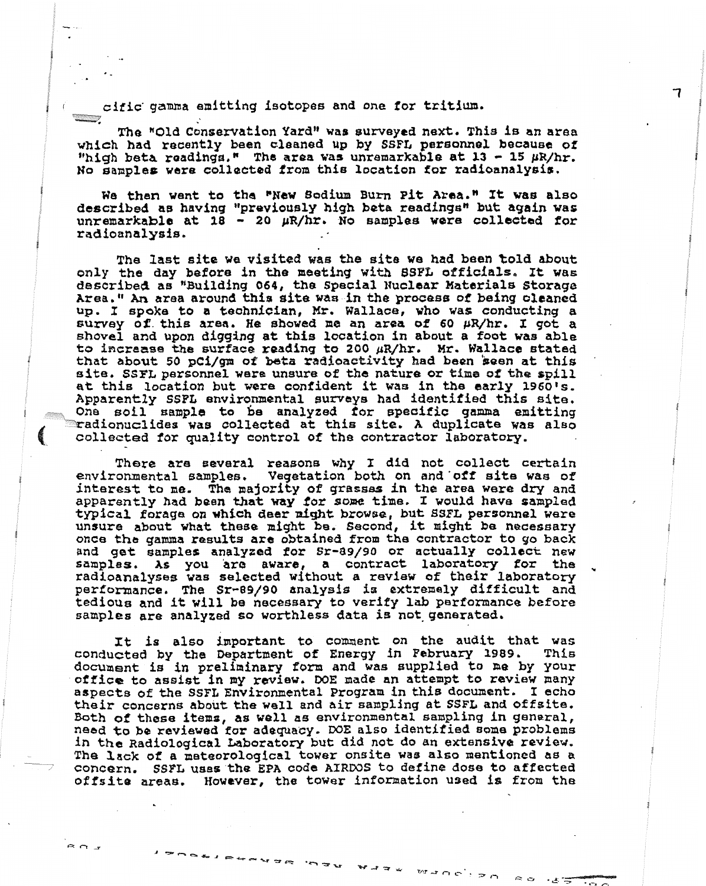**<sup>i</sup>**cific. **gamma emitting isotopes and one for tritium.** 

**The ~onoenration Yardw was surveyed next. This is an area which had recently been cleaned up by SSFL personnel becauea of "high beta raadings." The area was unremarkable at 13** - **15 pR/hr. No samples** *were* **collected iron this location for radioanalysis.** 

**We than went to the Waw 80dium Burn pit Areaon ft was also**  described as having "previously high beta readings" but again was **unremarkable at: 18** - **20 pR/hr. No samples were collected for radioanalysis.** 

**The last site we visited was the site we had been told about**  only **the day before in the meeting with SSP% officials. It was dsscrfbaQ as "Building 064, ths Special NucLasar Katarials Storage Area," An area around thia site was fn the prwstefi of baing cleaned up. I spoke to a teahnician, Hr. Wallace, who was conducting a sunrey of!. thi6 area. He showed xne an area of 60 pR/hr. I got a shovel and upon digging at this** location in **about a foot was able to Pncrasnsgl the surface reading to 200 pR/hro Mr. Wallace stated**  that **about 50 pCi/gm of beta +adieactivity had been been at this site. SSPL personnel were unsure of the nature or tima of tho spill at this location but were confident it: was in the early 1960's. Apparently SSPL environmental surveys had identified this site.** - **One soil e~raple to be analyzed** *for* **specific gamma emitting ~adionuclides was collected at this sits. A duplicate was also collected for quality control of ths** contractor **leboratory.** 

**There are several reasons why I did** not **collect certain**  environmental **samples. Vegetation both on and 'off site was of interest to me. The majority of grasses in the area were dry and**  apparently had been that way for some time. I would have sampled typical forage on which deer might browse, but SSFL personnel were **unsure about what these might be. Second, it night ba necessary once the gamma results are obtained from the contractor to go back and get samples analyzed for Sr-89/90 or actually collect new samples. As you** are **aware, a contract** 1aboratow **201 the radioanalyses was selected without a review of their laboratory**  pertomance. **The Sr-09/90 analysis f s extrenrely df f f icult and tedious and it will ba necessary to verify** lab **perfomance before eamples ore analyzed so worthless data is not- generated.** 

**It is also important to comment on the audit that was conducted by the Department of Energy in February 1989. This**  document **is in preliminary** form **and was supplied to me by** your **office to assiat in my rwiew. DOE made an attempt to review many aspects of the SSFL Environmental Program in this document. I echo**  <sup>I</sup>**weir concerns about the well and air sampling at SSFL and offsite.**  Both of these items, as well as environmental sampling in general, **need to be reviewed** for **adsquacy. DOE also identified some problems fn the Radiological Laboratory** but **did** not do an **extensive review.**  <sup>1</sup>--\_ **The lack of a mstaorological tower onsite was also mentioned as a Concern, SSPL uses the EPA coda** AIRWS to define **dose to affected**  offsite areas. However, the tower information used is from the

**CONTRACTOR** 

7